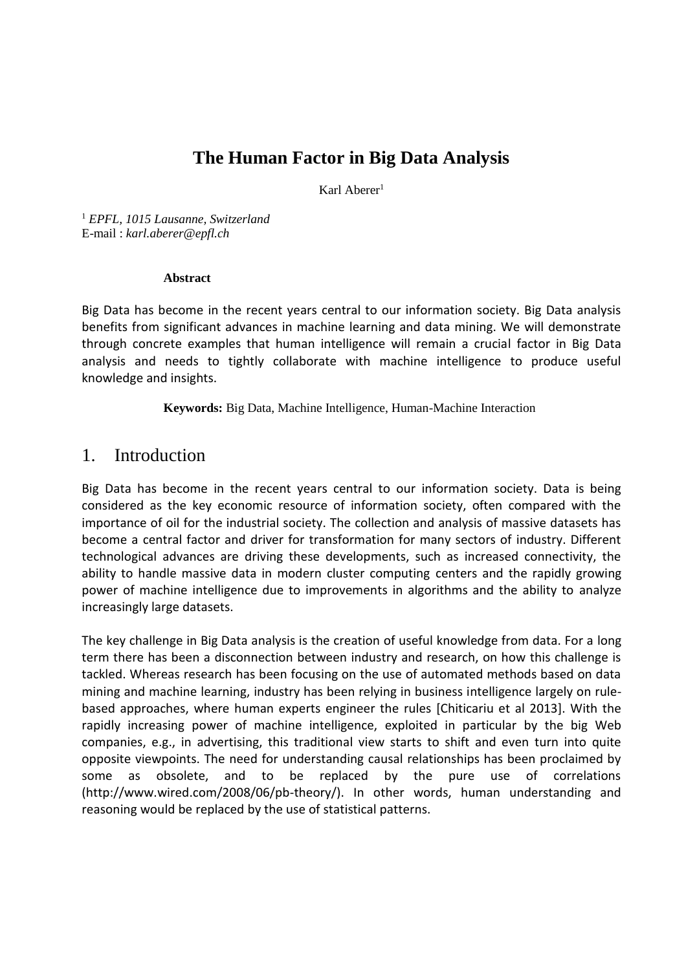# **The Human Factor in Big Data Analysis**

Karl Aberer<sup>1</sup>

<sup>1</sup> *EPFL, 1015 Lausanne, Switzerland*  E-mail : *karl.aberer@epfl.ch*

#### **Abstract**

Big Data has become in the recent years central to our information society. Big Data analysis benefits from significant advances in machine learning and data mining. We will demonstrate through concrete examples that human intelligence will remain a crucial factor in Big Data analysis and needs to tightly collaborate with machine intelligence to produce useful knowledge and insights.

**Keywords:** Big Data, Machine Intelligence, Human-Machine Interaction

#### 1. Introduction

Big Data has become in the recent years central to our information society. Data is being considered as the key economic resource of information society, often compared with the importance of oil for the industrial society. The collection and analysis of massive datasets has become a central factor and driver for transformation for many sectors of industry. Different technological advances are driving these developments, such as increased connectivity, the ability to handle massive data in modern cluster computing centers and the rapidly growing power of machine intelligence due to improvements in algorithms and the ability to analyze increasingly large datasets.

The key challenge in Big Data analysis is the creation of useful knowledge from data. For a long term there has been a disconnection between industry and research, on how this challenge is tackled. Whereas research has been focusing on the use of automated methods based on data mining and machine learning, industry has been relying in business intelligence largely on rulebased approaches, where human experts engineer the rules [Chiticariu et al 2013]. With the rapidly increasing power of machine intelligence, exploited in particular by the big Web companies, e.g., in advertising, this traditional view starts to shift and even turn into quite opposite viewpoints. The need for understanding causal relationships has been proclaimed by some as obsolete, and to be replaced by the pure use of correlations (http://www.wired.com/2008/06/pb-theory/). In other words, human understanding and reasoning would be replaced by the use of statistical patterns.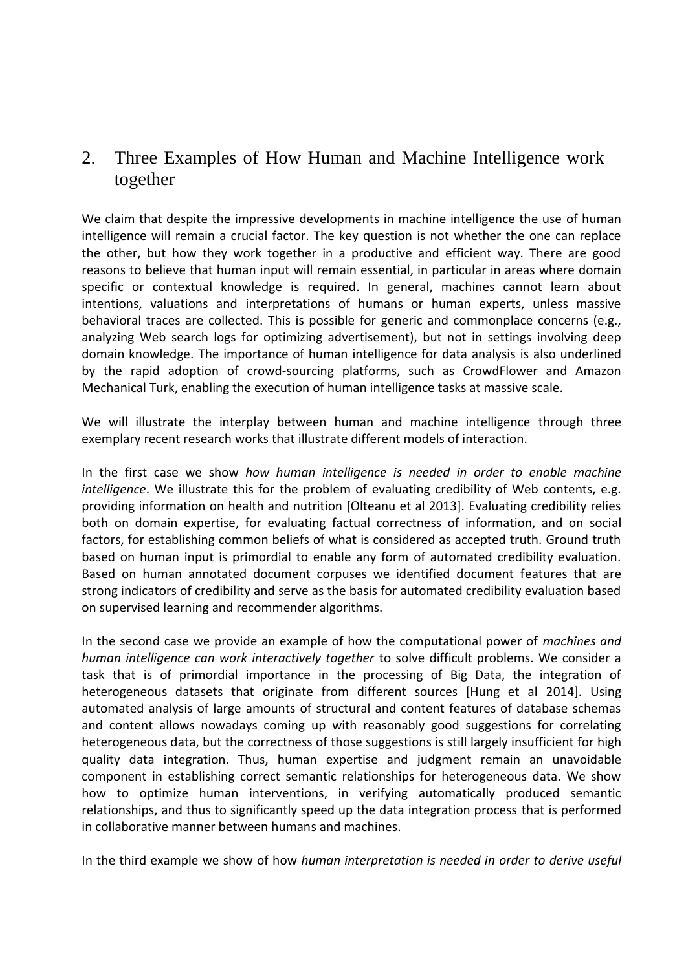## 2. Three Examples of How Human and Machine Intelligence work together

We claim that despite the impressive developments in machine intelligence the use of human intelligence will remain a crucial factor. The key question is not whether the one can replace the other, but how they work together in a productive and efficient way. There are good reasons to believe that human input will remain essential, in particular in areas where domain specific or contextual knowledge is required. In general, machines cannot learn about intentions, valuations and interpretations of humans or human experts, unless massive behavioral traces are collected. This is possible for generic and commonplace concerns (e.g., analyzing Web search logs for optimizing advertisement), but not in settings involving deep domain knowledge. The importance of human intelligence for data analysis is also underlined by the rapid adoption of crowd-sourcing platforms, such as CrowdFlower and Amazon Mechanical Turk, enabling the execution of human intelligence tasks at massive scale.

We will illustrate the interplay between human and machine intelligence through three exemplary recent research works that illustrate different models of interaction.

In the first case we show *how human intelligence is needed in order to enable machine intelligence*. We illustrate this for the problem of evaluating credibility of Web contents, e.g. providing information on health and nutrition [Olteanu et al 2013]. Evaluating credibility relies both on domain expertise, for evaluating factual correctness of information, and on social factors, for establishing common beliefs of what is considered as accepted truth. Ground truth based on human input is primordial to enable any form of automated credibility evaluation. Based on human annotated document corpuses we identified document features that are strong indicators of credibility and serve as the basis for automated credibility evaluation based on supervised learning and recommender algorithms.

In the second case we provide an example of how the computational power of *machines and human intelligence can work interactively together* to solve difficult problems. We consider a task that is of primordial importance in the processing of Big Data, the integration of heterogeneous datasets that originate from different sources [Hung et al 2014]. Using automated analysis of large amounts of structural and content features of database schemas and content allows nowadays coming up with reasonably good suggestions for correlating heterogeneous data, but the correctness of those suggestions is still largely insufficient for high quality data integration. Thus, human expertise and judgment remain an unavoidable component in establishing correct semantic relationships for heterogeneous data. We show how to optimize human interventions, in verifying automatically produced semantic relationships, and thus to significantly speed up the data integration process that is performed in collaborative manner between humans and machines.

In the third example we show of how *human interpretation is needed in order to derive useful*